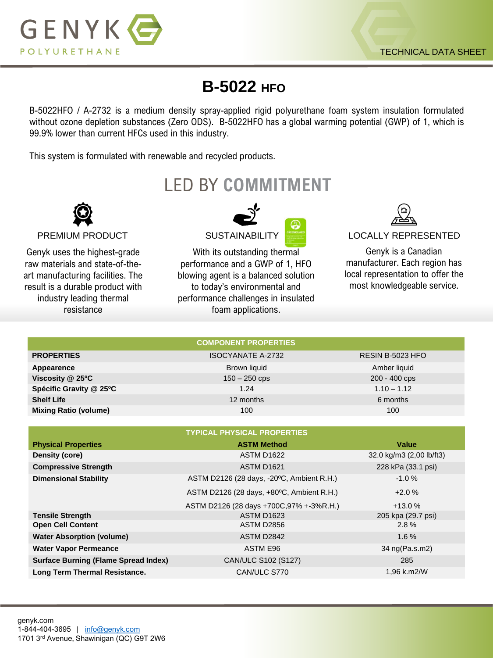

## **B-5022 HFO**

B-5022HFO / A-2732 is a medium density spray-applied rigid polyurethane foam system insulation formulated without ozone depletion substances (Zero ODS). B-5022HFO has a global warming potential (GWP) of 1, which is 99.9% lower than current HFCs used in this industry.

This system is formulated with renewable and recycled products.

LED BY **COMMITMENT**



Genyk uses the highest-grade raw materials and state-of-theart manufacturing facilities. The result is a durable product with industry leading thermal resistance



With its outstanding thermal performance and a GWP of 1, HFO blowing agent is a balanced solution to today's environmental and performance challenges in insulated foam applications.



PREMIUM PRODUCT SUSTAINABILITY SUSTAINABILITY LOCALLY REPRESENTED

Genyk is a Canadian manufacturer. Each region has local representation to offer the most knowledgeable service.

| <b>COMPONENT PROPERTIES</b>  |                          |                  |  |  |  |
|------------------------------|--------------------------|------------------|--|--|--|
| <b>PROPERTIES</b>            | <b>ISOCYANATE A-2732</b> | RESIN B-5023 HFO |  |  |  |
| Appearence                   | Brown liquid             | Amber liquid     |  |  |  |
| Viscosity @ 25°C             | $150 - 250$ cps          | 200 - 400 cps    |  |  |  |
| Spécific Gravity @ 25°C      | 1.24                     | $1.10 - 1.12$    |  |  |  |
| <b>Shelf Life</b>            | 12 months                | 6 months         |  |  |  |
| <b>Mixing Ratio (volume)</b> | 100                      | 100              |  |  |  |

| <b>TYPICAL PHYSICAL PROPERTIES</b>          |                                           |                          |  |  |  |
|---------------------------------------------|-------------------------------------------|--------------------------|--|--|--|
| <b>Physical Properties</b>                  | <b>ASTM Method</b>                        | Value                    |  |  |  |
| Density (core)                              | <b>ASTM D1622</b>                         | 32.0 kg/m3 (2,00 lb/ft3) |  |  |  |
| <b>Compressive Strength</b>                 | <b>ASTM D1621</b>                         | 228 kPa (33.1 psi)       |  |  |  |
| <b>Dimensional Stability</b>                | ASTM D2126 (28 days, -20°C, Ambient R.H.) | $-1.0%$                  |  |  |  |
|                                             | ASTM D2126 (28 days, +80°C, Ambient R.H.) | $+2.0%$                  |  |  |  |
|                                             | ASTM D2126 (28 days +700C,97% +-3%R.H.)   | $+13.0%$                 |  |  |  |
| <b>Tensile Strength</b>                     | <b>ASTM D1623</b>                         | 205 kpa (29.7 psi)       |  |  |  |
| <b>Open Cell Content</b>                    | <b>ASTM D2856</b>                         | 2.8%                     |  |  |  |
| <b>Water Absorption (volume)</b>            | ASTM D2842                                | 1.6%                     |  |  |  |
| <b>Water Vapor Permeance</b>                | ASTM E96                                  | 34 ng(Pa.s.m2)           |  |  |  |
| <b>Surface Burning (Flame Spread Index)</b> | CAN/ULC S102 (S127)                       | 285                      |  |  |  |
| Long Term Thermal Resistance.               | CAN/ULC S770                              | 1.96 k.m2/W              |  |  |  |